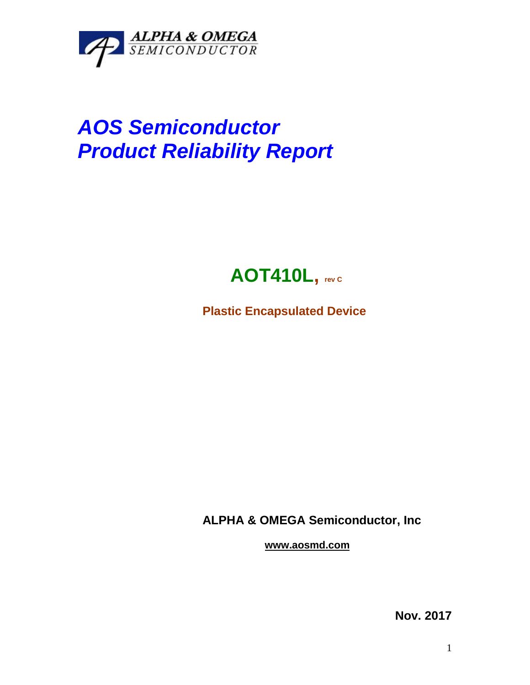

## *AOS Semiconductor Product Reliability Report*



**Plastic Encapsulated Device**

**ALPHA & OMEGA Semiconductor, Inc**

**www.aosmd.com**

**Nov. 2017**